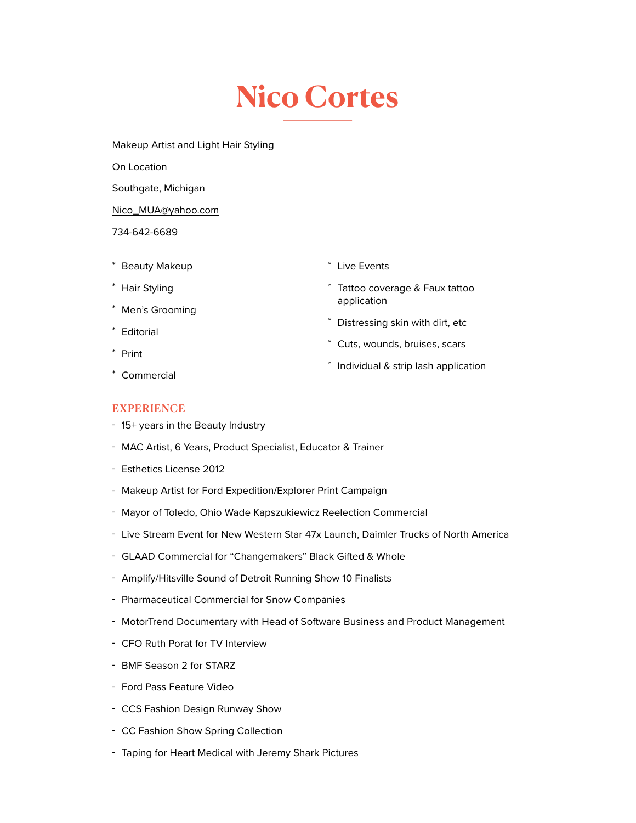## **Nico Cortes**

Makeup Artist and Light Hair Styling

On Location

Southgate, Michigan

[Nico\\_MUA@yahoo.com](mailto:Nico_MUA@yahoo.com)

## 734-642-6689

- \* Beauty Makeup
- \* Hair Styling
- \* Men's Grooming
- \* Editorial
- \* Print

\* Live Events

- \* Tattoo coverage & Faux tattoo application
- \* Distressing skin with dirt, etc
- \* Cuts, wounds, bruises, scars
- \* Individual & strip lash application

\* Commercial

## **EXPERIENCE**

- 15+ years in the Beauty Industry
- MAC Artist, 6 Years, Product Specialist, Educator & Trainer
- Esthetics License 2012
- Makeup Artist for Ford Expedition/Explorer Print Campaign
- Mayor of Toledo, Ohio Wade Kapszukiewicz Reelection Commercial
- Live Stream Event for New Western Star 47x Launch, Daimler Trucks of North America
- GLAAD Commercial for "Changemakers" Black Gifted & Whole
- Amplify/Hitsville Sound of Detroit Running Show 10 Finalists
- Pharmaceutical Commercial for Snow Companies
- MotorTrend Documentary with Head of Software Business and Product Management
- CFO Ruth Porat for TV Interview
- BMF Season 2 for STARZ
- Ford Pass Feature Video
- CCS Fashion Design Runway Show
- CC Fashion Show Spring Collection
- Taping for Heart Medical with Jeremy Shark Pictures